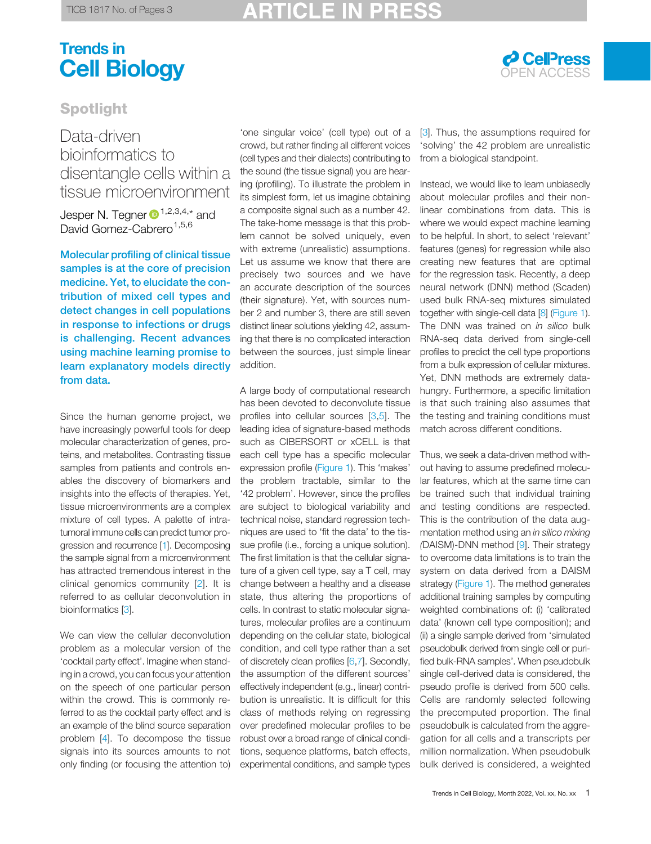# Trends in **Cell Biology Cell Biology**



# Spotlight

## Data-driven bioinformatics to disentangle cells within a tissue microenvironment

Jesper N. Tegner  $\mathbf{D}^{1,2,3,4,*}$  $\mathbf{D}^{1,2,3,4,*}$  $\mathbf{D}^{1,2,3,4,*}$  $\mathbf{D}^{1,2,3,4,*}$  $\mathbf{D}^{1,2,3,4,*}$  $\mathbf{D}^{1,2,3,4,*}$  and David Gomez-Cabrero<sup>[1](#page-1-0)[,5,6](#page-2-0)</sup>

Molecular profiling of clinical tissue samples is at the core of precision medicine. Yet, to elucidate the contribution of mixed cell types and detect changes in cell populations in response to infections or drugs is challenging. Recent advances using machine learning promise to learn explanatory models directly from data.

Since the human genome project, we have increasingly powerful tools for deep molecular characterization of genes, proteins, and metabolites. Contrasting tissue samples from patients and controls enables the discovery of biomarkers and insights into the effects of therapies. Yet, tissue microenvironments are a complex mixture of cell types. A palette of intratumoral immune cells can predict tumor progression and recurrence [\[1\]](#page-2-0). Decomposing the sample signal from a microenvironment has attracted tremendous interest in the clinical genomics community [[2\]](#page-2-0). It is referred to as cellular deconvolution in bioinformatics [[3\]](#page-2-0).

We can view the cellular deconvolution problem as a molecular version of the 'cocktail party effect'. Imagine when standing in a crowd, you can focus your attention on the speech of one particular person within the crowd. This is commonly referred to as the cocktail party effect and is an example of the blind source separation problem [[4\]](#page-2-0). To decompose the tissue signals into its sources amounts to not only finding (or focusing the attention to)

'one singular voice' (cell type) out of a crowd, but rather finding all different voices (cell types and their dialects) contributing to the sound (the tissue signal) you are hearing (profiling). To illustrate the problem in its simplest form, let us imagine obtaining a composite signal such as a number 42. The take-home message is that this problem cannot be solved uniquely, even with extreme (unrealistic) assumptions. Let us assume we know that there are precisely two sources and we have an accurate description of the sources (their signature). Yet, with sources number 2 and number 3, there are still seven distinct linear solutions yielding 42, assuming that there is no complicated interaction between the sources, just simple linear addition.

A large body of computational research has been devoted to deconvolute tissue profiles into cellular sources [[3,5](#page-2-0)]. The leading idea of signature-based methods such as CIBERSORT or xCELL is that each cell type has a specific molecular expression profile [\(Figure 1\)](#page-1-0). This 'makes' the problem tractable, similar to the '42 problem'. However, since the profiles are subject to biological variability and technical noise, standard regression techniques are used to 'fit the data' to the tissue profile (i.e., forcing a unique solution). The first limitation is that the cellular signature of a given cell type, say a T cell, may change between a healthy and a disease state, thus altering the proportions of cells. In contrast to static molecular signatures, molecular profiles are a continuum depending on the cellular state, biological condition, and cell type rather than a set of discretely clean profiles [[6,7\]](#page-2-0). Secondly, the assumption of the different sources' effectively independent (e.g., linear) contribution is unrealistic. It is difficult for this class of methods relying on regressing over predefined molecular profiles to be robust over a broad range of clinical conditions, sequence platforms, batch effects, experimental conditions, and sample types

[\[3](#page-2-0)]. Thus, the assumptions required for 'solving' the 42 problem are unrealistic from a biological standpoint.

Instead, we would like to learn unbiasedly about molecular profiles and their nonlinear combinations from data. This is where we would expect machine learning to be helpful. In short, to select 'relevant' features (genes) for regression while also creating new features that are optimal for the regression task. Recently, a deep neural network (DNN) method (Scaden) used bulk RNA-seq mixtures simulated together with single-cell data [[8\]](#page-2-0) [\(Figure 1\)](#page-1-0). The DNN was trained on in silico bulk RNA-seq data derived from single-cell profiles to predict the cell type proportions from a bulk expression of cellular mixtures. Yet, DNN methods are extremely datahungry. Furthermore, a specific limitation is that such training also assumes that the testing and training conditions must match across different conditions.

Thus, we seek a data-driven method without having to assume predefined molecular features, which at the same time can be trained such that individual training and testing conditions are respected. This is the contribution of the data augmentation method using an in silico mixing (DAISM)-DNN method [\[9](#page-2-0)]. Their strategy to overcome data limitations is to train the system on data derived from a DAISM strategy [\(Figure 1\)](#page-1-0). The method generates additional training samples by computing weighted combinations of: (i) 'calibrated data' (known cell type composition); and (ii) a single sample derived from 'simulated pseudobulk derived from single cell or purified bulk-RNA samples'. When pseudobulk single cell-derived data is considered, the pseudo profile is derived from 500 cells. Cells are randomly selected following the precomputed proportion. The final pseudobulk is calculated from the aggregation for all cells and a transcripts per million normalization. When pseudobulk bulk derived is considered, a weighted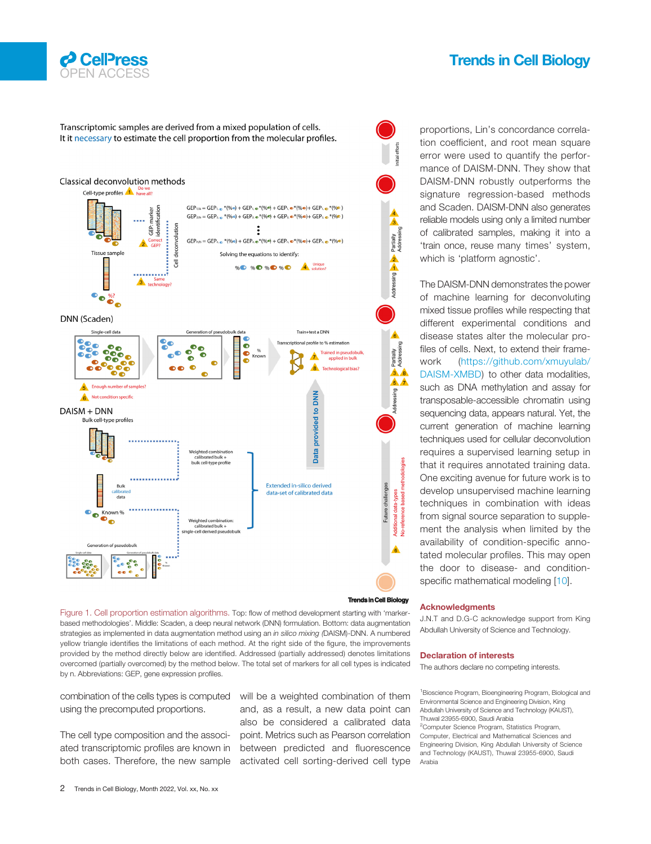<span id="page-1-0"></span>

### Trends in Cell Biology

Transcriptomic samples are derived from a mixed population of cells. It it necessary to estimate the cell proportion from the molecular profiles.



Figure 1. Cell proportion estimation algorithms. Top: flow of method development starting with 'markerbased methodologies'. Middle: Scaden, a deep neural network (DNN) formulation. Bottom: data augmentation strategies as implemented in data augmentation method using an in silico mixing (DAISM)-DNN. A numbered yellow triangle identifies the limitations of each method. At the right side of the figure, the improvements provided by the method directly below are identified. Addressed (partially addressed) denotes limitations overcomed (partially overcomed) by the method below. The total set of markers for all cell types is indicated by n. Abbreviations: GEP, gene expression profiles.

combination of the cells types is computed using the precomputed proportions.

The cell type composition and the associated transcriptomic profiles are known in both cases. Therefore, the new sample

will be a weighted combination of them and, as a result, a new data point can also be considered a calibrated data point. Metrics such as Pearson correlation between predicted and fluorescence activated cell sorting-derived cell type

proportions, Lin's concordance correlation coefficient, and root mean square error were used to quantify the performance of DAISM-DNN. They show that DAISM-DNN robustly outperforms the signature regression-based methods and Scaden. DAISM-DNN also generates reliable models using only a limited number of calibrated samples, making it into a 'train once, reuse many times' system, which is 'platform agnostic'.

The DAISM-DNN demonstrates the power of machine learning for deconvoluting mixed tissue profiles while respecting that different experimental conditions and disease states alter the molecular profiles of cells. Next, to extend their framework [\(https://github.com/xmuyulab/](https://github.com/xmuyulab/DAISM-XMBD) [DAISM-XMBD](https://github.com/xmuyulab/DAISM-XMBD)) to other data modalities, such as DNA methylation and assay for transposable-accessible chromatin using sequencing data, appears natural. Yet, the current generation of machine learning techniques used for cellular deconvolution requires a supervised learning setup in that it requires annotated training data. One exciting avenue for future work is to develop unsupervised machine learning techniques in combination with ideas from signal source separation to supplement the analysis when limited by the availability of condition-specific annotated molecular profiles. This may open the door to disease- and condition-specific mathematical modeling [[10\]](#page-2-0).

### Acknowledgments

J.N.T and D.G-C acknowledge support from King Abdullah University of Science and Technology.

#### Declaration of interests

The authors declare no competing interests.

<sup>1</sup> Bioscience Program, Bioengineering Program, Biological and Environmental Science and Engineering Division, King Abdullah University of Science and Technology (KAUST), Thuwal 23955-6900, Saudi Arabia <sup>2</sup>Computer Science Program, Statistics Program, Computer, Electrical and Mathematical Sciences and Engineering Division, King Abdullah University of Science and Technology (KAUST), Thuwal 23955-6900, Saudi Arabia